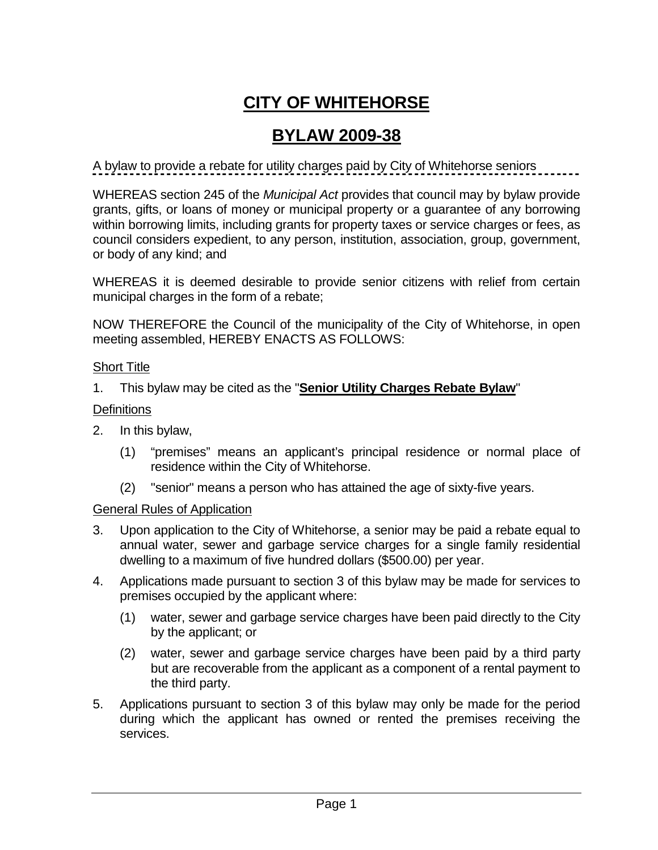# **CITY OF WHITEHORSE**

# **BYLAW 2009-38**

A bylaw to provide a rebate for utility charges paid by City of Whitehorse seniors

WHEREAS section 245 of the *Municipal Act* provides that council may by bylaw provide grants, gifts, or loans of money or municipal property or a guarantee of any borrowing within borrowing limits, including grants for property taxes or service charges or fees, as council considers expedient, to any person, institution, association, group, government, or body of any kind; and

WHEREAS it is deemed desirable to provide senior citizens with relief from certain municipal charges in the form of a rebate;

NOW THEREFORE the Council of the municipality of the City of Whitehorse, in open meeting assembled, HEREBY ENACTS AS FOLLOWS:

## Short Title

1. This bylaw may be cited as the "**Senior Utility Charges Rebate Bylaw**"

# **Definitions**

- 2. In this bylaw,
	- (1) "premises" means an applicant's principal residence or normal place of residence within the City of Whitehorse.
	- (2) "senior" means a person who has attained the age of sixty-five years.

## General Rules of Application

- 3. Upon application to the City of Whitehorse, a senior may be paid a rebate equal to annual water, sewer and garbage service charges for a single family residential dwelling to a maximum of five hundred dollars (\$500.00) per year.
- 4. Applications made pursuant to section 3 of this bylaw may be made for services to premises occupied by the applicant where:
	- (1) water, sewer and garbage service charges have been paid directly to the City by the applicant; or
	- (2) water, sewer and garbage service charges have been paid by a third party but are recoverable from the applicant as a component of a rental payment to the third party.
- 5. Applications pursuant to section 3 of this bylaw may only be made for the period during which the applicant has owned or rented the premises receiving the services.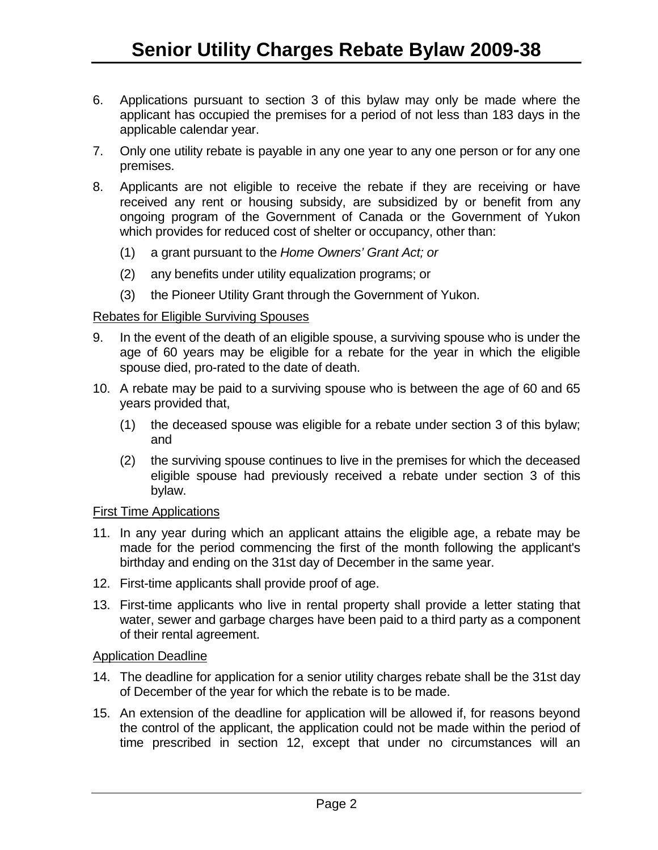- 6. Applications pursuant to section 3 of this bylaw may only be made where the applicant has occupied the premises for a period of not less than 183 days in the applicable calendar year.
- 7. Only one utility rebate is payable in any one year to any one person or for any one premises.
- 8. Applicants are not eligible to receive the rebate if they are receiving or have received any rent or housing subsidy, are subsidized by or benefit from any ongoing program of the Government of Canada or the Government of Yukon which provides for reduced cost of shelter or occupancy, other than:
	- (1) a grant pursuant to the *Home Owners' Grant Act; or*
	- (2) any benefits under utility equalization programs; or
	- (3) the Pioneer Utility Grant through the Government of Yukon.

#### Rebates for Eligible Surviving Spouses

- 9. In the event of the death of an eligible spouse, a surviving spouse who is under the age of 60 years may be eligible for a rebate for the year in which the eligible spouse died, pro-rated to the date of death.
- 10. A rebate may be paid to a surviving spouse who is between the age of 60 and 65 years provided that,
	- (1) the deceased spouse was eligible for a rebate under section 3 of this bylaw; and
	- (2) the surviving spouse continues to live in the premises for which the deceased eligible spouse had previously received a rebate under section 3 of this bylaw.

#### First Time Applications

- 11. In any year during which an applicant attains the eligible age, a rebate may be made for the period commencing the first of the month following the applicant's birthday and ending on the 31st day of December in the same year.
- 12. First-time applicants shall provide proof of age.
- 13. First-time applicants who live in rental property shall provide a letter stating that water, sewer and garbage charges have been paid to a third party as a component of their rental agreement.

#### Application Deadline

- 14. The deadline for application for a senior utility charges rebate shall be the 31st day of December of the year for which the rebate is to be made.
- 15. An extension of the deadline for application will be allowed if, for reasons beyond the control of the applicant, the application could not be made within the period of time prescribed in section 12, except that under no circumstances will an